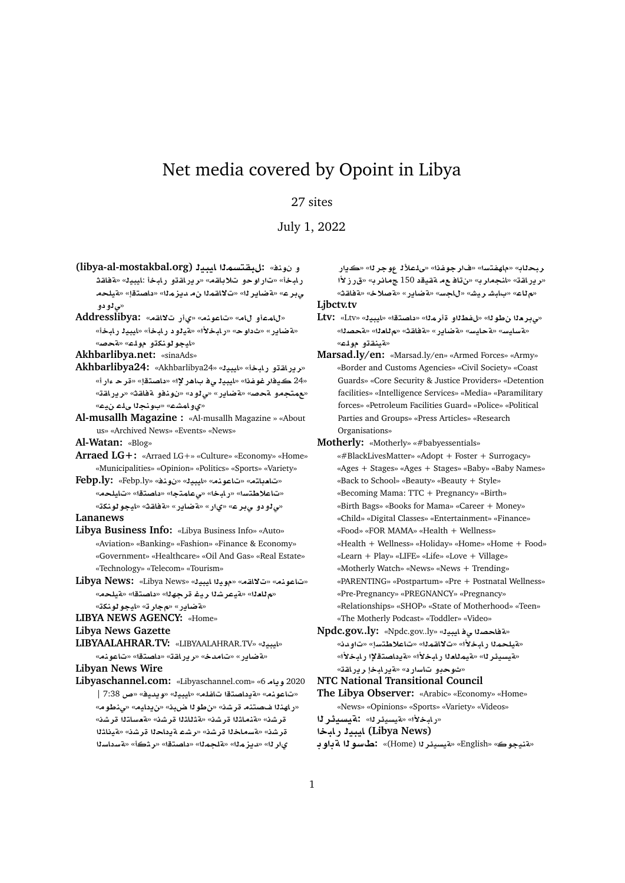# Net media covered by Opoint in Libya

## 27 sites

July 1, 2022

- **(libya-al-mostakbal.org) ybyA mstqb:** «**nw ¤** ر ابخأ» «تار او *حو* تلاباقه» «رير اقتو ر ابخأ :ايبي<sup>ل</sup>» «ةفاقث **lyT**» «**tOA** » «**mz§d mqA¯**» «**r§ART**» «**r¨** ×**ي ژو دو**
- **Addresslibya:** «**qA¯ C©**» «**nwA**» «**A ¤mA**» «**فضاير» «ثداوح» «رابخلأا» «فيلود رابخاً» «ايبيذ رابخاً»** «**ايجو لونك**ڌو مولم» «قحصه

**Akhbarlibya.net:** «sinaAds»

- Akhbarlibya24: «Akhbarlibya24» «بوراقتو رابخا» «ايبيك «24 ڪيفار غوفنا» «ايبي**ڙ يءُ باهر لإا» «داصت**قإ» «ةر **ح** ءار أ» «**عمتجمو ةحص» «ةضاير» «ى** لو د» «نونفو ةفاقث» «ر يراقة» «*ي و* امشــ» «بـونـجـدا ىلــــــــــــــ»
- **Al-musallh Magazine :** «Al-musallh Magazine » «About us» «Archived News» «Events» «News»

**Al-Watan:** «Blog»

- **Arraed LG+:** «Arraed LG+» «Culture» «Economy» «Home» «Municipalities» «Opinion» «Politics» «Sports» «Variety»
- **Febp.ly:** «Febp.ly» «**nw** » «**ybyA**» «**nwA**» «**tA`A**» «تاعلاطتسا» «رابخا» «ىعامتجا» «داصتقا» «تايلحه» «**knwwyA**» «**qAT**» «**C§ART**» «**C©**» «**r¨ ¤ ¤¨**» **Lananews**
- **Libya Business Info:** «Libya Business Info» «Auto» «Aviation» «Banking» «Fashion» «Finance & Economy» «Government» «Healthcare» «Oil And Gas» «Real Estate» «Technology» «Telecom» «Tourism»
- **Libya News:** «Libya News» «**ybyA yw**» «**qA¯**» «**nwA**» «ملادلا» «ميعرشلا ريغ قرجهلل» «داصتقل» «ميلحم» «**لةضاير» «مجار ت» «ايجو لونك**ة»

**LIBYA NEWS AGENCY:** «Home»

#### **Libya News Gazette**

**LIBYAALAHRAR.TV:** «LIBYAALAHRAR.TV» «**ybyA**» «**مقاير» «تامدخ» «ريراقة» «داصتقا» «تاعون**مه

**Libyan News Wire**

**Libyaschannel.com:** «Libyaschannel.com» «6 **A§w** 2020 | 7:38 **Q**» «**yd§w**» «**ybyA**» «**lfA tOA §T**» «**nwA**» «**و اهن**اا ضصتنه قر شن» «ن طوالا ضبن» «ن بدايه» «ي نطوم» قر شذ» «<mark>Kنما</mark>ثلا قر شذ» «Kثلاثلا قر شذ» «Kعساتلا قر شذ» قر شذ» «**Kسماخذا قر شذ» «ر ش**ع Aدداحذا قر شذ» «Kيذاشذا ىار لل» «ديز ملل» «هلجملل» «داصتقل» «ر شكأ» «هسداسلل

ر بحل**اب» «ماهفتسا» «فار جوفذا» «ىلـعلأ1 عوجر لـ» «كـيار** «بريراقة» «انجمارب» «نتاف ع¤ مقطيقد 150 جمائرب» «ق<sub>ا</sub>رز لأا «م لـاع» «بـابـشــريـشـ» «ل<sub>ـا</sub>لجـسـ» «aطباير » «a صلاحـة» «<mark>a فاق</mark>ـث

### **Ljbctv.tv**

- $Ltv:$  «Ltv» «بيدر هذا بن طوله» «با هفط له قار هذا» «داصتقا» «بايبيد» «**OT**» «**`A**» «**qAT**» «**C§ART**» «**FyAT**» «**FyAFT**» «**لقينقڌو مول**ع»
- **Marsad.ly/en:** «Marsad.ly/en» «Armed Forces» «Army» «Border and Customs Agencies» «Civil Society» «Coast Guards» «Core Security & Justice Providers» «Detention facilities» «Intelligence Services» «Media» «Paramilitary forces» «Petroleum Facilities Guard» «Police» «Political Parties and Groups» «Press Articles» «Research Organisations»
- **Motherly:** «Motherly» «#babyessentials»
- «#BlackLivesMatter» «Adopt + Foster + Surrogacy» «Ages + Stages» «Ages + Stages» «Baby» «Baby Names» «Back to School» «Beauty» «Beauty + Style» «Becoming Mama: TTC + Pregnancy» «Birth» «Birth Bags» «Books for Mama» «Career + Money» «Child» «Digital Classes» «Entertainment» «Finance» «Food» «FOR MAMA» «Health + Wellness» «Health + Wellness» «Holiday» «Home» «Home + Food» «Learn + Play» «LIFE» «Life» «Love + Village» «Motherly Watch» «News» «News + Trending» «PARENTING» «Postpartum» «Pre + Postnatal Wellness» «Pre-Pregnancy» «PREGNANCY» «Pregnancy» «Relationships» «SHOP» «State of Motherhood» «Teen» «The Motherly Podcast» «Toddler» «Video»
- **Npdc.gov..ly:** «Npdc.gov..ly» «**ybyA ¨ OAT**» «مقطحمنا رياحكلاً» «ت¥اقمنا» «تاعلاطتساٍ» «تاويان» «بقيسيئر لل» «**قيمِللعِل**ا رامِخلاًا» «قرداصتِقلا) رامِخلاًا» «شوحدو تا*سار*د» «ةيرلبخإ ريراقة»
- **NTC National Transitional Council**
- **The Libya Observer:** «Arabic» «Economy» «Home» «News» «Opinions» «Sports» «Variety» «Videos»

«*بِ* **ابْخَلاًا» «مقيسيئر له» : مقتسندگر ل**ـ1

- **bAC ybyA (Libya News)**
- **wT wFX:** «(Home) **r¶ysyT**» «English» «**wynT**»